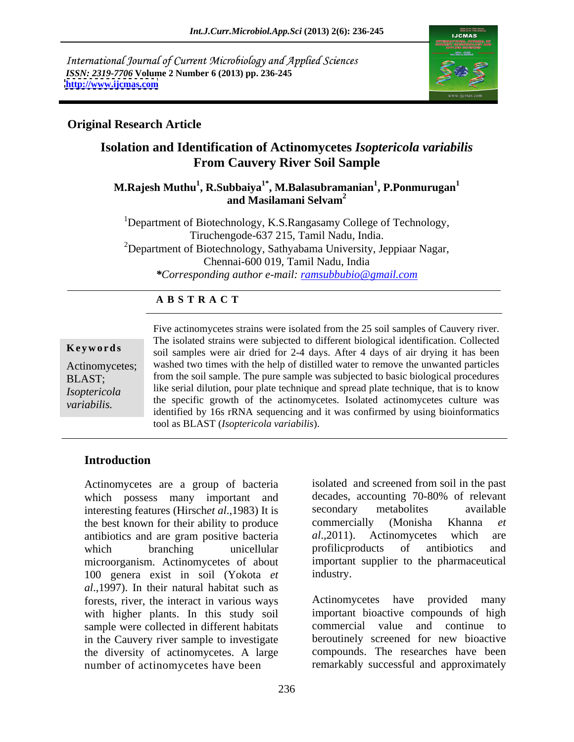International Journal of Current Microbiology and Applied Sciences *ISSN: 2319-7706* **Volume 2 Number 6 (2013) pp. 236-245 <http://www.ijcmas.com>**



### **Original Research Article**

# **Isolation and Identification of Actinomycetes** *Isoptericola variabilis* **From Cauvery River Soil Sample**

### **M.Rajesh Muthu<sup>1</sup> , R.Subbaiya1\* , M.Balasubramanian<sup>1</sup> , P.Ponmurugan<sup>1</sup> and Masilamani Selvam<sup>2</sup>**

<sup>1</sup>Department of Biotechnology, K.S.Rangasamy College of Technology, Tiruchengode-637 215, Tamil Nadu, India. <sup>2</sup>Department of Biotechnology, Sathyabama University, Jeppiaar Nagar, Chennai-600 019, Tamil Nadu, India *\*Corresponding author e-mail: ramsubbubio@gmail.com*

#### **A B S T R A C T**

**Keywords** soil samples were air dried for 2-4 days. After 4 days of air drying it has been Actinomycetes; washed two times with the help of distilled water to remove the unwanted particles BLAST; from the soil sample. The pure sample was subjected to basic biological procedures *Isoptericola*  like serial dilution, pour plate technique and spread plate technique, that is to know Five actinomycetes strains were isolated from the 25 soil samples of Cauvery river.<br> **Keywords**<br> **Keywords**<br> **Actinomycetes:**<br> **COMPERENAST:**<br> **COMPERENAST:**<br> **COMPERENAST:**<br> **COMPERENAST:**<br> **COMPERENAST:**<br> **COMPERENT:**<br> the specific growth of the actinomycetes. Isolated actinomycetes culture was identified by 16s rRNA sequencing and it was confirmed by using bioinformatics tool as BLAST (*Isoptericola variabilis*).

# **Introduction**

which possess many important and interesting features (Hirsch*et al.*,1983) It is secondary metabolites available<br>the best known for their ability to produce commercially (Monisha Khanna *et* the best known for their ability to produce<br>antibiotics and are gram positive bacteria al., 2011). Actinomycetes which are antibiotics and are gram positive bacteria *al.*,2011). Actinomycetes which are which branching unicellular profilic roducts of antibiotics and microorganism. Actinomycetes of about important supplier to the pharmaceutical 100 genera exist in soil (Yokota *et al*.,1997). In their natural habitat such as forests, river, the interact in various ways with higher plants. In this study soil sample were collected in different habitats in the Cauvery river sample to investigate the diversity of actinomycetes. A large Actinomycetes are a group of bacteria<br>
which possess many important and decades, accounting 70-80% of relevant<br>
interesting features (Hirschet al.,1983) It secondary metabolites available<br>
the best known for their ability

Actinomycetes are a group of bacteria isolated and screened from soil in the past decades, accounting 70-80% of relevant secondary metabolites available commercially (Monisha Khanna *et al*.,2011). Actinomycetes which are profilicproducts of antibiotics and industry.

> Actinomycetes have provided many important bioactive compounds of high commercial value and continue to beroutinely screened for new bioactive compounds. The researches have been remarkably successful and approximately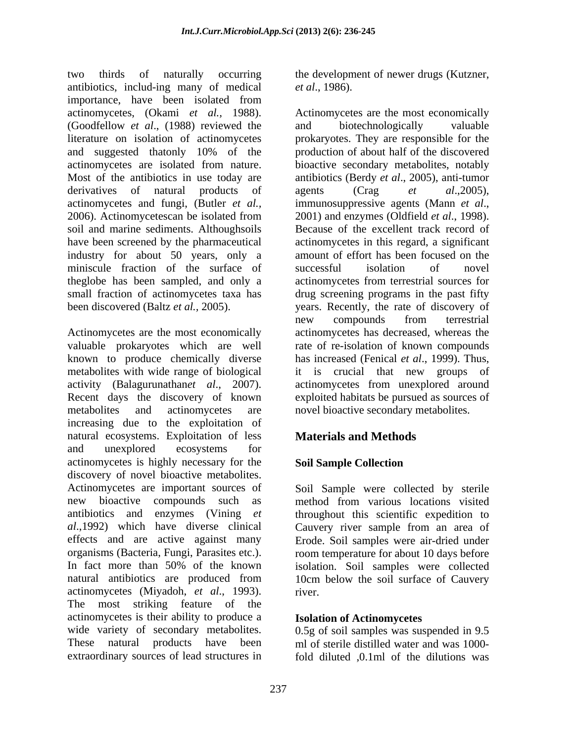two thirds of naturally occurring the development of newer drugs (Kutzner, antibiotics, includ-ing many of medical *et al.*, 1986). importance, have been isolated from actinomycetes, (Okami *et al.,* 1988). Actinomycetes are the most economically (Goodfellow *et al*., (1988) reviewed the literature on isolation of actinomycetes and suggested thatonly 10% of the production of about half of the discovered actinomycetes are isolated from nature. bioactive secondary metabolites, notably Most of the antibiotics in use today are antibiotics (Berdy *et al*., 2005), anti-tumor derivatives of natural products of agents (Crag et al.,2005), actinomycetes and fungi, (Butler *et al.,* 2006). Actinomycetescan be isolated from 2001) and enzymes (Oldfield et al., 1998). soil and marine sediments. Althoughsoils Because of the excellent track record of have been screened by the pharmaceutical actinomycetes in this regard, a significant industry for about 50 years, only a miniscule fraction of the surface of successful isolation of novel theglobe has been sampled, and only a actinomycetes from terrestrial sources for small fraction of actinomycetes taxa has drug screening programs in the past fifty been discovered (Baltz *et al.,* 2005). years. Recently, the rate of discovery of

Actinomycetes are the most economically actinomycetes has decreased, whereas the valuable prokaryotes which are well rate of re-isolation of known compounds known to produce chemically diverse metabolites with wide range of biological it is crucial that new groups of activity (Balagurunathan*et al*., 2007). Recent days the discovery of known exploited habitats be pursued as sources of metabolites and actinomycetes are novel bioactive secondary metabolites. increasing due to the exploitation of natural ecosystems. Exploitation of less and unexplored ecosystems for actinomycetes is highly necessary for the Soil Sample Collection discovery of novel bioactive metabolites. Actinomycetes are important sources of new bioactive compounds such as method from various locations visited antibiotics and enzymes (Vining *et*  throughout this scientific expedition to *al*.,1992) which have diverse clinical Cauvery river sample from an area of effects and are active against many Erode. Soil samples were air-dried under organisms (Bacteria, Fungi, Parasites etc.). room temperature for about 10 days before In fact more than 50% of the known isolation. Soil samples were collected natural antibiotics are produced from actinomycetes (Miyadoh, *et al*., 1993). The most striking feature of the actinomycetes is their ability to produce a wide variety of secondary metabolites. 0.5g of soil samples was suspended in 9.5 These natural products have been ml of sterile distilled water and was 1000-

*et al*., 1986).

and biotechnologically valuable prokaryotes. They are responsible for the production of about half of the discovered agents (Crag *et al.*,2005),<br>immunosuppressive agents (Mann *et al.*,<br>2001) and enzymes (Oldfield *et al.*, 1998).<br>Because of the excellent track record of amount of effort has been focused on the successful isolation of novel new compounds from terrestrial hasincreased (Fenical *et al*., 1999). Thus, actinomycetes from unexplored around

# **Materials and Methods**

# **Soil Sample Collection**

Soil Sample were collected by sterile method from various locations visited 10cm below the soil surface of Cauvery river.

# **Isolation of Actinomycetes**

extraordinary sources of lead structures in fold diluted ,0.1ml of the dilutions was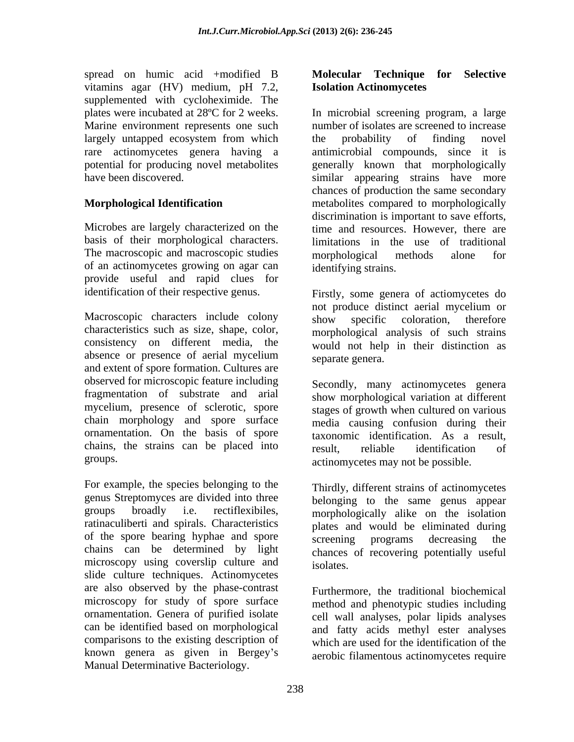spread on humic acid +modified B Molecular Technique for Selective vitamins agar (HV) medium, pH 7.2, supplemented with cycloheximide. The largely untapped ecosystem from which the probability of finding novel

Microbes are largely characterized on the The macroscopic and macroscopic studies morphological methods alone for of an actinomycetes growing on agar can provide useful and rapid clues for

Macroscopic characters include colony show specific coloration, therefore characteristics such as size, shape, color, absence or presence of aerial mycelium and extent of spore formation. Cultures are observed for microscopic feature including fragmentation of substrate and arial mycelium, presence of sclerotic, spore chain morphology and spore surface ornamentation. On the basis of spore chains, the strains can be placed into

For example, the species belonging to the genus Streptomyces are divided into three of the spore bearing hyphae and spore screening programs decreasing the chains can be determined by light microscopy using coverslip culture and isolates. slide culture techniques. Actinomycetes are also observed by the phase-contrast microscopy for study of spore surface ornamentation. Genera of purified isolate can be identified based on morphological comparisons to the existing description of which are used for the identification of the known genera as given in Bergey's Manual Determinative Bacteriology.

#### **Molecular Technique for Selective Isolation Actinomycetes**

plates were incubated at 28ºC for 2 weeks. In microbial screening program, a large Marine environment represents one such number of isolates are screened to increase rare actinomycetes genera having a antimicrobial compounds, since it is potential for producing novel metabolites generally known that morphologically have been discovered. similar appearing strains have more **Morphological Identification** metabolites compared to morphologically basis of their morphological characters. limitations in the use of traditional the probability of finding novel chances of production the same secondary discrimination is important to save efforts, time and resources. However, there are morphological methods alone for identifying strains.

identification of their respective genus. Firstly, some genera of actiomycetes do consistency on different media, the would not help in their distinction as not produce distinct aerial mycelium or show specific coloration, therefore morphological analysis of such strains separate genera.

groups. actinomycetes may not be possible. Secondly, many actinomycetes genera show morphological variation at different stages of growth when cultured on various media causing confusion during their taxonomic identification. As a result, result, reliable identification of

groups broadly i.e. rectiflexibiles, morphologically alike on the isolation ratinaculiberti and spirals. Characteristics plates and would be eliminated during Thirdly, different strains of actinomycetes belonging to the same genus appear screening programs decreasing the chances of recovering potentially useful isolates.

> Furthermore, the traditional biochemical method and phenotypic studies including cell wall analyses, polar lipids analyses and fatty acids methyl ester analyses aerobic filamentous actinomycetes require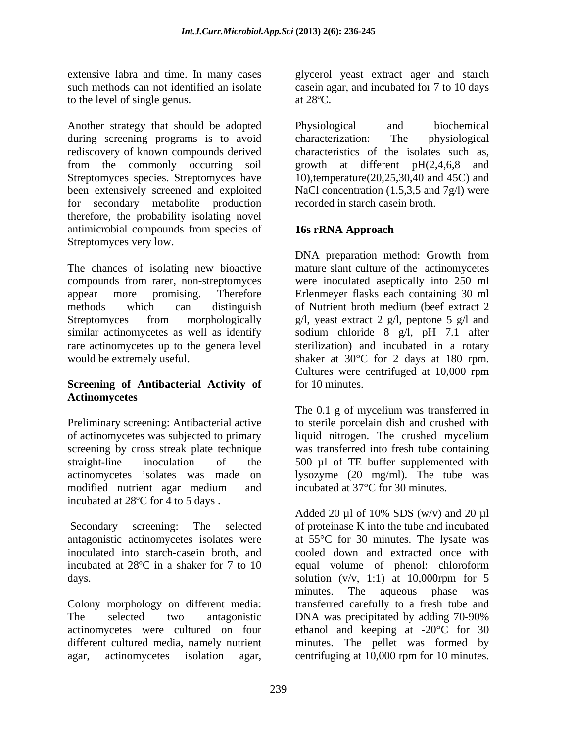extensive labra and time. In many cases to the level of single genus. at 28<sup>o</sup>C.

Another strategy that should be adopted Physiological and biochemical during screening programs is to avoid characterization: The physiological rediscovery of known compounds derived characteristics of the isolates such as, from the commonly occurring soil growth at different pH(2,4,6,8 and Streptomyces species. Streptomyces have 10),temperature(20,25,30,40 and 45C) and been extensively screened and exploited NaCl concentration (1.5,3,5 and 7g/l) were for secondary metabolite production therefore, the probability isolating novel antimicrobial compounds from species of **16s rRNA Approach** Streptomyces very low.

The chances of isolating new bioactive mature slant culture of the actinomycetes compounds from rarer, non-streptomyces were inoculated aseptically into 250 ml appear more promising. Therefore Erlenmeyer flasks each containing 30 ml methods which can distinguish of Nutrient broth medium (beef extract 2 Streptomyces from morphologically g/l, yeast extract 2 g/l, peptone 5 g/l and similar actinomycetes as well as identify sodium chloride 8 g/l, pH 7.1 after rare actinomycetes up to the genera level sterilization) and incubated in a rotary would be extremely useful. Shaker at 30°C for 2 days at 180 rpm.

### **Screening of Antibacterial Activity of Actinomycetes**

Preliminary screening: Antibacterial active of actinomycetes was subjected to primary screening by cross streak plate technique was transferred into fresh tube containing straight-line inoculation of the 500 µl of TE buffer supplemented with actinomycetes isolates was made on lysozyme (20 mg/ml). The tube was modified nutrient agar medium and incubated at 37°C for 30 minutes. incubated at 28ºC for 4 to 5 days .

inoculated into starch-casein broth, and days.  $\lambda$  solution  $(v/v, 1:1)$  at 10,000rpm for 5

actinomycetes were cultured on four agar, actinomycetes isolation agar, centrifuging at 10,000 rpm for 10 minutes.

such methods can not identified an isolate casein agar, and incubated for 7 to 10 days glycerol yeast extract ager and starch at  $28^{\circ}\mathrm{C}$ .

> Physiological and biochemical characterization: The physiological characteristics of the isolates such as,<br>growth at different  $pH(2,4,6,8)$  and recorded in starch casein broth.

# **16s rRNA Approach**

DNA preparation method: Growth from Cultures were centrifuged at 10,000 rpm for 10 minutes.

The 0.1 g of mycelium was transferred in to sterile porcelain dish and crushed with liquid nitrogen. The crushed mycelium incubated at 37°C for 30 minutes.

Secondary screening: The selected of proteinase K into the tube and incubated antagonistic actinomycetes isolates were at 55°C for 30 minutes. The lysate was incubated at 28ºC in a shaker for 7 to 10 equal volume of phenol: chloroform Colony morphology on different media: transferred carefully to a fresh tube and The selected two antagonistic DNA was precipitated by adding 70-90% different cultured media, namely nutrient minutes. The pellet was formed by Added 20  $\mu$ l of 10% SDS (w/v) and 20  $\mu$ l cooled down and extracted once with solution  $(v/v, 1:1)$  at 10,000rpm for 5 minutes. The aqueous phase was ethanol and keeping at -20°C for 30 centrifuging at 10,000 rpm for 10 minutes.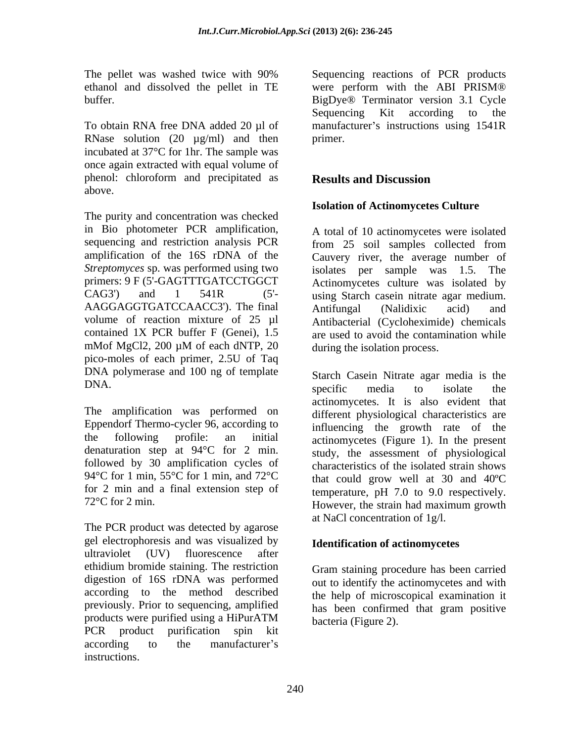ethanol and dissolved the pellet in TE

RNase solution  $(20 \mu g/ml)$  and then primer. incubated at 37°C for 1hr. The sample was once again extracted with equal volume of phenol: chloroform and precipitated as **Results and Discussion** above.

The purity and concentration was checked in Bio photometer PCR amplification, A total of 10 actinomycetes were isolated sequencing and restriction analysis PCR from 25 soil samples collected from amplification of the 16S rDNA of the Cauvery river, the average number of *Streptomyces* sp. was performed using two primers: 9 F (5'-GAGTTTGATCCTGGCT Actinomycetes culture was isolated by CAG3') and 1 541R (5'- using Starch casein nitrate agar medium. AAGGAGGTGATCCAACC3'). The final volume of reaction mixture of 25 µl contained 1X PCR buffer F (Genei), 1.5 are used to avoid the contamination while mMof MgCl2, 200 μM of each dNTP, 20 during the isolation process. pico-moles of each primer, 2.5U of Taq DNA polymerase and 100 ng of template DNA. Seperting the media to isolate the

The amplification was performed on Eppendorf Thermo-cycler 96, according to the following profile: an initial actinomycetes (Figure 1). In the present denaturation step at 94°C for 2 min. followed by 30 amplification cycles of 94 °C for 1 min, 55 °C for 1 min, and 72 °C that could grow well at 30 and 40 °C for 2 min and a final extension step of

The PCR product was detected by agarose gel electrophoresis and was visualized by ultraviolet (UV) fluorescence after ethidium bromide staining. The restriction digestion of 16S rDNA was performed according to the method described previously. Prior to sequencing, amplified products were purified using a HiPurATM  $_{\text{hacteria (Figure 2)}}$ PCR product purification spin kit according to the manufacturer's instructions.

The pellet was washed twice with 90% Sequencing reactions of PCR products buffer. BigDye® Terminator version 3.1 Cycle To obtain RNA free DNA added 20 µl of manufacturer's instructions using 1541R were perform with the ABI PRISM® Sequencing Kit according to the primer.

# **Results and Discussion**

# **Isolation of Actinomycetes Culture**

from 25 soil samples collected from isolates per sample was 1.5. The Antifungal (Nalidixic acid) and Antibacterial (Cycloheximide) chemicals during the isolation process.

72°C for 2 min. However, the strain had maximum growth Starch Casein Nitrate agar media is the specific media to isolate the actinomycetes. It is also evident that different physiological characteristics are influencing the growth rate of the study, the assessment of physiological characteristics of the isolated strain shows temperature, pH 7.0 to 9.0 respectively. at NaCl concentration of 1g/l.

# **Identification of actinomycetes**

Gram staining procedure has been carried out to identify the actinomycetes and with the help of microscopical examination it has been confirmed that gram positive bacteria (Figure 2).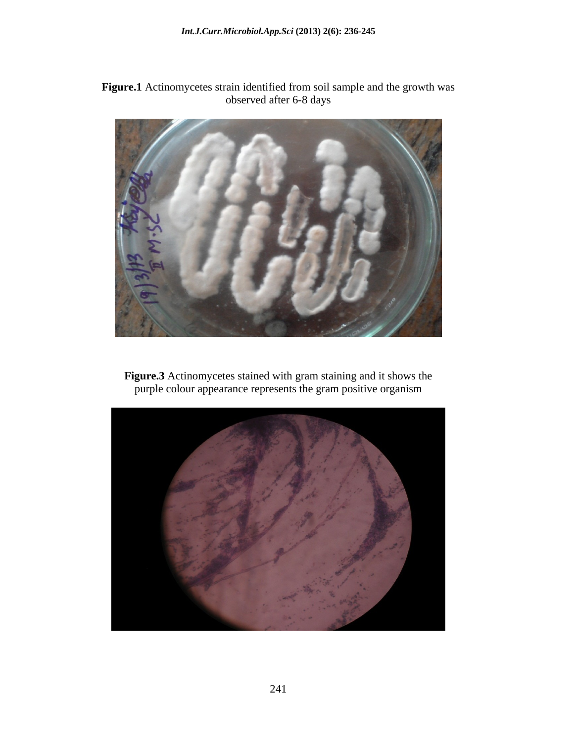**Figure.1** Actinomycetes strain identified from soil sample and the growth was observed after 6-8 days



**Figure.3** Actinomycetes stained with gram staining and it shows the purple colour appearance represents the gram positive organism

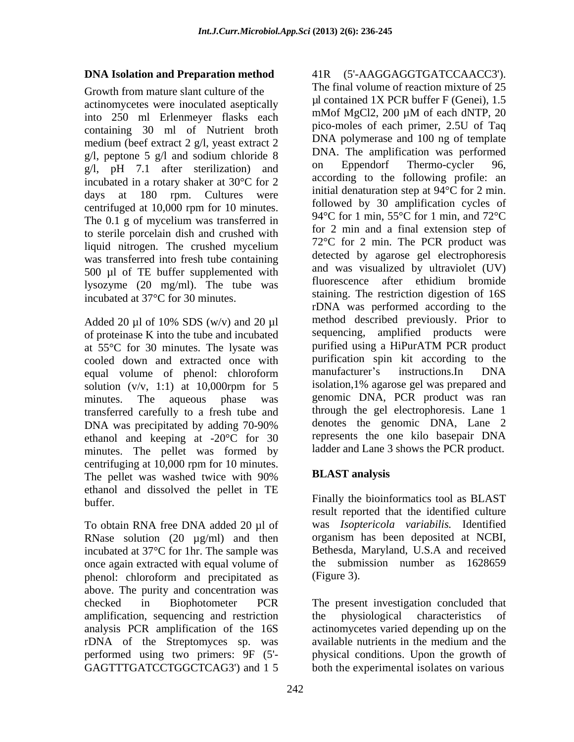### **DNA Isolation and Preparation method**

Growth from mature slant culture of the actinomycetes were inoculated aseptically  $\mu$  contained TX PCR burier F (Gener), 1.5<br>into 250 ml Frienmover, flocks, each mMof MgCl2, 200  $\mu$ M of each dNTP, 20 into 250 ml Erlenmeyer flasks each containing 30 ml of Nutrient broth medium (beef extract 2 g/l, yeast extract 2 g/l, peptone 5 g/l and sodium chloride 8  $\frac{DNA}{2}$ . The amplification was performed  $\alpha$ <sup>1</sup> and  $\alpha$ <sup>1</sup> and  $\alpha$ <sup>1</sup> are equilibration and  $\alpha$ <sup>1</sup> and Eppendorf Thermo-cycler 96, g/l, pH 7.1 after sterilization) and incubated in a rotary shaker at 30°C for 2 days at 180 rpm. Cultures were centrifuged at 10,000 rpm for 10 minutes. The 0.1 g of mycelium was transferred in to sterile porcelain dish and crushed with liquid nitrogen. The crushed mycelium was transferred into fresh tube containing 500 µl of TE buffer supplemented with  $\frac{1}{2}$  and was visualized by ultraviolet  $(UV)$ <br>the the was fluorescence after ethidium bromide lysozyme (20 mg/ml). The tube was incubated at 37°C for 30 minutes.

Added 20  $\mu$ l of 10% SDS (w/v) and 20  $\mu$ l of proteinase K into the tube and incubated at 55°C for 30 minutes. The lysate was cooled down and extracted once with purification spin kit according to the<br>equal volume of phenol: chloroform manufacturer's instructions.In DNA solution  $(v/v, 1:1)$  at 10,000rpm for 5 isolation, 1% agarose gel was prepared and transferred carefully to a fresh tube and DNA was precipitated by adding 70-90% ethanol and keeping at -20°C for 30 minutes. The pellet was formed by centrifuging at 10,000 rpm for 10 minutes.<br>The pellet was washed twice with 90% **BLAST analysis** The pellet was washed twice with 90% **BLAST analysis** ethanol and dissolved the pellet in TE

To obtain RNA free DNA added 20 µl of RNase solution  $(20 \text{ µg/ml})$  and then incubated at 37°C for 1hr. The sample was once again extracted with equal volume of phenol: chloroform and precipitated as above. The purity and concentration was amplification, sequencing and restriction the physiological characteristics of

equal volume of phenol: chloroform manufacturer's instructions.In DNA minutes. The aqueous phase was genomic DNA, PCR product was ran 41R (5'-AAGGAGGTGATCCAACC3'). The final volume of reaction mixture of 25  $\mu$ l contained 1X PCR buffer F (Genei), 1.5 mMof MgCl2, 200 µM of each dNTP, 20 pico-moles of each primer, 2.5U of Taq DNA polymerase and 100 ng of template DNA. The amplification was performed on Eppendorf Thermo-cycler 96, according to the following profile: an initial denaturation step at 94°C for 2 min. followed by 30 amplification cycles of 94°C for 1 min, 55°C for 1 min, and 72°C for 2 min and a final extension step of 72°C for 2 min. The PCR product was detected by agarose gel electrophoresis and was visualized by ultraviolet (UV) fluorescence after ethidium bromide staining. The restriction digestion of 16S rDNA was performed according to the method described previously. Prior to sequencing, amplified products were purified using a HiPurATM PCR product purification spin kit according to the manufacturer's instructions.In DNA isolation,1% agarose gel was prepared and through the gel electrophoresis. Lane 1 denotes the genomic DNA, Lane 2 represents the one kilo basepair DNA ladder and Lane 3 shows the PCR product.

# **BLAST analysis**

Finally the bioinformatics tool as  $BLAST$ result reported that the identified culture was *Isoptericola variabilis.* Identified organism has been deposited at NCBI, Bethesda, Maryland, U.S.A and received the submission number as 1628659 (Figure 3).

checked in Biophotometer PCR The present investigation concluded that analysis PCR amplification of the 16S actinomycetes varied depending up on the rDNA of the Streptomyces sp. was available nutrients in the medium and the performed using two primers: 9F (5'- physical conditions. Upon the growth of GAGTTTGATCCTGGCTCAG3') and 1 5 both the experimental isolates on variousthe physiological characteristics of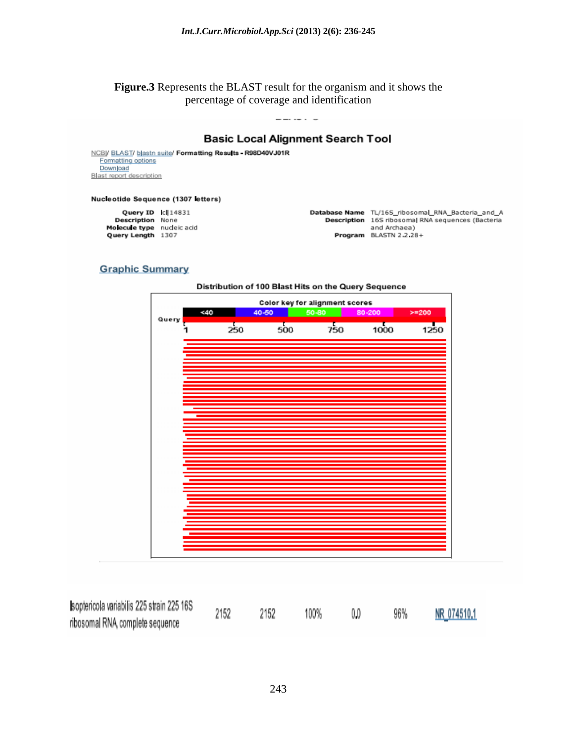**Figure.3** Represents the BLAST result for the organism and it shows the percentage of coverage and identification

#### **Basic Local Alignment Search Tool**

NCBI/ BLAST/ blastn suite/ Formatting Results - R98D40VJ01R Formatting options Download Blast report description

#### Nucleotide Sequence (1307 letters)

Query ID Id 14831 **Description None** Molecule type nucleic acid Query Length 1307

Database Name TL/16S\_ribosomal\_RNA\_Bacteria\_and\_A Description 16S ribosomal RNA sequences (Bacteria and Archaea) Program BLASTN 2.2.28+

#### **Graphic Summary**



| soptericola variabilis 225 strain 225 16S | 2152 |  | 100% |  | 96% | NR_074510.1 |
|-------------------------------------------|------|--|------|--|-----|-------------|
| ribosomal RNA complete sequence           |      |  |      |  |     |             |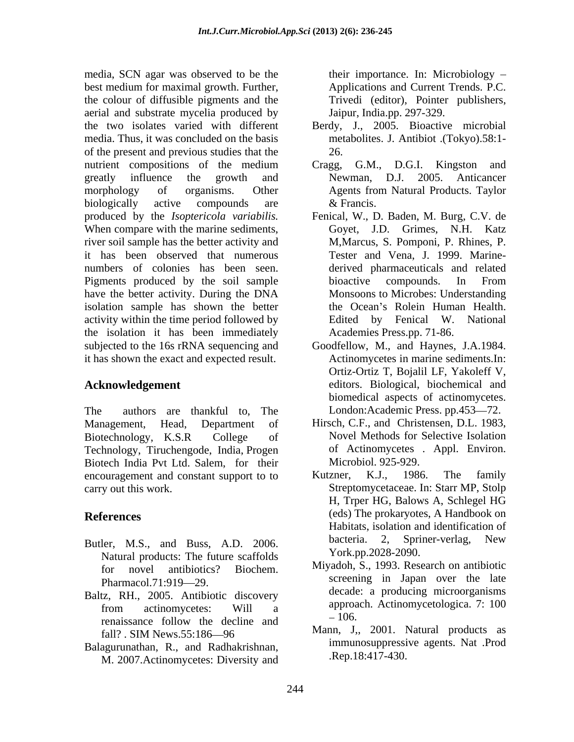media, SCN agar was observed to be the best medium for maximal growth. Further, the colour of diffusible pigments and the aerial and substrate mycelia produced by the two isolates varied with different Berdy, J., 2005. Bioactive microbial media. Thus, it was concluded on the basis of the present and previous studies that the nutrient compositions of the medium Cragg, G.M., D.G.I. Kingston and greatly influence the growth and Mewman, D.J. 2005. Anticancer morphology of organisms. Other Agents from Natural Products. Taylor biologically active compounds are  $\&$  Francis. When compare with the marine sediments, river soil sample has the better activity and it has been observed that numerous numbers of colonies has been seen. Pigments produced by the soil sample bioactive compounds. In From have the better activity. During the DNA isolation sample has shown the better activity within the time period followed by Fenical W. National activity within the time period followed by Fenical W. National the isolation it has been immediately subjected to the 16s rRNA sequencing and Goodfellow, M., and Haynes, J.A.1984. it has shown the exact and expected result.

The authors are thankful to, The London:Academic Press. pp.453—72. Management, Head, Department of Hirsch, C.F., and Christensen, D.L. 1983, Biotechnology, K.S.R College of Novel Methods for Selective Isolation Technology, Tiruchengode, India, Progen of Actinomycetes . Appl. Environ.<br>Biotech India Pvt Ltd. Salem. for their Microbiol. 925-929. Biotech India Pvt Ltd. Salem, for their Microbiol. 92<br>encouragement and constant support to to Kutzner, K.J., encouragement and constant support to to Kutzner, K.J., 1986. The family

- Natural products: The future scaffolds
- Baltz, RH., 2005. Antibiotic discovery renaissance follow the decline and  $\frac{-100}{\lambda}$ fall? . SIM News.55:186-96
- Balagurunathan, R., and Radhakrishnan, M. 2007.Actinomycetes: Diversity and

their importance. In: Microbiology Applications and Current Trends. P.C. Trivedi (editor), Pointer publishers, Jaipur, India.pp. 297-329.

- metabolites. J. Antibiot .(Tokyo).58:1- 26.
- Cragg, G.M., D.G.I. Kingston and Newman, D.J. 2005. Anticancer & Francis.
- produced by the *Isoptericola variabilis.* Fenical, W., D. Baden, M. Burg, C.V. de Goyet, J.D. Grimes, N.H. Katz M,Marcus, S. Pomponi, P. Rhines, P. Tester and Vena, J. 1999. Marine derived pharmaceuticals and related bioactive compounds. In From Monsoons to Microbes: Understanding the Ocean's Rolein Human Health. Edited by Fenical W. Academies Press.pp. 71-86.
- **Acknowledgement** editors. Biological, biochemical and Actinomycetes in marine sediments.In: Ortiz-Ortiz T, Bojalil LF, Yakoleff V, biomedical aspects of actinomycetes.
	- Novel Methods for Selective Isolation of Actinomycetes . Appl. Environ. Microbiol. 925-929.
- carry out this work. Streptomycetaceae. In: Starr MP, Stolp **References** (eds) The prokaryotes, A Handbook on Butler, M.S., and Buss, A.D. 2006. bacteria. 2, Spriner-verlag, New Kutzner, K.J., 1986. The family H, Trper HG, Balows A, Schlegel HG Habitats, isolation and identification of bacteria. 2, Spriner-verlag, New York.pp.2028-2090.
	- for novel antibiotics? Biochem. Milyadon, S., 1995. Research on antibiotic Pharmacol.71:919—29. Screening in Japan over the fate from actinomycetes: Will a approach. Actinomycetologica. T. Too Miyadoh, S., 1993. Research on antibiotic screening in Japan over the late decade: a producing microorganisms approach. Actinomycetologica. 7: 100 106.
		- Mann, J,, 2001. Natural products as immunosuppressive agents. Nat .Prod .Rep.18:417-430.